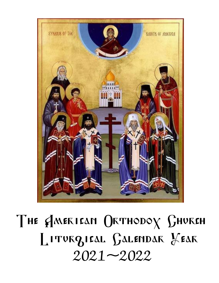# The AMERICAN ORTHODOX SHURCH LITURGIEAL GALENDAR FEAR  $2021 - 2022$

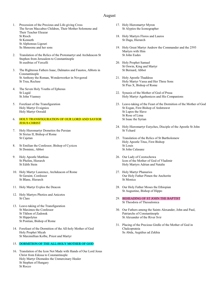#### August

- 1. Procession of the Precious and Life-giving Cross The Seven Maccabee Children, Their Mother Solomone and Their Teacher Eleazar St Rioch St Kenneth St Alphonsus Ligouri Ss Shmoonu and her sons
- 2. Translation of the Relics of the Protomartyr and Archdeacon St Stephen from Jerusalem to Constantinople St eusibius of Vercelli
- 3. The Righteous Fathers Isaac, Dalmatos and Faustos, Abbots in Constantinople St Anthony the Roman, Wonderworker in Novgorod St Trea, Recluse
- 4. The Seven Holy Youths of Ephesus St Lugid St John Vianney
- 5. Forefeast of the Transfiguration Holy Martyr Evsignios Holy Martyr Oswald

#### 6. HOLY TRANSFIGURATION OF OUR LORD AND SAVIOR **JESUS CHRIST**

- 7. Holy Hieromartyr Dometios the Persian St Sixtus II, Bishop of Rome St Cajetan
- 8. St Emilian the Confessor, Bishop of Cyzicos St Dominic, Abbot
- 9. Holy Apostle Matthias St Phelim, Hierarch St Edith Stein
- 10. Holy Martyr Laurence, Archdeacon of Rome St Geraint, Confessor St Blane, Hierarch
- 11. Holy Martyr Evplos the Deacon
- 12. Holy Martyrs Photios and Anicetos St Clare
- 13. Leave-taking of the Transfiguration St Maximos the Confessor St Tikhon of Zadonsk St Hippolytus St Pontian, Bishop of Rome
- 14. Forefeast of the Dormition of the All-holy Mother of God Holy Prophet Micah St Maximillian Kolbe, Priest and Martyr

#### 15. DORMITION OF THE ALL-HOLY MOTHER OF GOD

16. Translation of the Icon Not Made with Hands of Our Lord Jesus Christ from Edessa to Constantinople Holy Martyr Diomedes the Unmercinary Healer St Stephen of Hungary St Rocco

- 17. Holy Hieromartyr Myron St Alypios the Iconographer
- 18. Holy Martyrs Floros and Lauros St Daga, Hierarch
- 19. Holy Great Martyr Andrew the Commander and the 2593 Martyrs with Him St John Eudes
- 20. Holy Prophet Samuel St Oswin, King and Martyr St Bernard, Abbot
- 21. Holy Apostle Thaddeus Holy Martyr Vassa and Her Three Sons St Pius X, Bishop of Rome
- 22. Synaxis of the Mother of God of Prusa Holy Martyr Agathonicos and His Companions
- 23. Leave-taking of the Feast of the Dormition of the Mother of God St Eogan, First Bishop of Ardstrawst St Lupos the Slave St Rose of Lima St Isaac the Syrian
- 24. Holy Hieromartyr Eutyches, Disciple of the Apostle St John St Ychard
- 25. Translation of the Relics of St Bartholomew Holy Apostle Titus, First Bishop St Louis St John Calasanz
- 26. Our Lady of Czestochowa Icon of the Mother of God of Vladimir Holy Martyrs Adrian and Natalie
- 27. Holy Martyr Phanurios Our Holy Father Pimen the Anchorite St Monica
- 28. Our Holy Father Moses the Ethiopian St Augustine, Bishop of Hippo
- 29. BEHEADING OF ST JOHN THE BAPTIST St Theodora of Thessalonica
- 30. Our Fathers among the Saints Alexander, John and Paul, Patriarchs of Constantinople St Alexander of the River Svir
- 31. Placing of the Precious Girdle of the Mother of God in Chalcoprateia Ss Abda, Aegidius ad Zekhia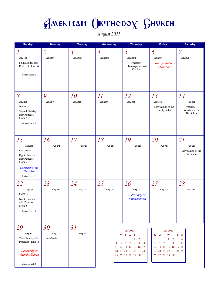August 2021

| <b>Sunday</b>                                                                                                                                    | <b>Monday</b>                  | <b>Tuesday</b>                        | Wednesday                   | <b>Thursday</b>                                                                                                                                                             | Friday                                                                                                                                   | <b>Saturday</b>                                                |
|--------------------------------------------------------------------------------------------------------------------------------------------------|--------------------------------|---------------------------------------|-----------------------------|-----------------------------------------------------------------------------------------------------------------------------------------------------------------------------|------------------------------------------------------------------------------------------------------------------------------------------|----------------------------------------------------------------|
| $\boldsymbol{l}$<br>July 19th<br>Sixth Sunday after<br>Pentecost (Tone 5)<br>Matins Gospel 6                                                     | $\overline{2}$<br>July 20th    | $\overline{\mathcal{S}}$<br>July 21st | $\overline{A}$<br>July 22nd | 5<br>July 23rd<br>Prefestive -<br>Transfiguration of<br>Our Lord                                                                                                            | 6<br>July 24th<br>Transfiguration<br>of Our Lord                                                                                         | 7<br>July 25th                                                 |
| $\delta$<br>July 26th<br>New Moon<br>Seventh Sunday<br>after Pentecost<br>(Tone 6)<br>Matins Gospel 7                                            | 9<br>July 27th                 | 10<br>July 28th                       | 11<br>July 29th             | 12<br>July 30th                                                                                                                                                             | 13<br>July 31st<br>Leavetaking of the<br>Transfiguration                                                                                 | 14<br>Aug 1st<br>Prefestive -<br>Dormition of the<br>Theotokos |
| 15<br>Aug 2nd<br><b>First Quarter</b><br>Eighth Sunday<br>after Pentecost<br>(Tone 7)<br>Dormition of the<br><b>Theotokos</b><br>Matins Gospel 8 | 16<br>Aug 3rd                  | 17<br>Aug 4th                         | 18<br>Aug 5th               | 19<br>Aug 6th                                                                                                                                                               | 20<br>Aug 7th                                                                                                                            | 21<br>Aug 8th<br>Leavetaking of the<br>Dormition               |
| 22<br>Aug 9th<br>Full Moon<br>Nineth Sunday<br>after Pentecost<br>(Tone 8)<br>Matins Gospel 9                                                    | 23<br>Aug 10th                 | 24<br>Aug 11th                        | 25<br>Aug 12th              | 26<br>Aug 13th<br>Our Lady of<br>Czestochowa                                                                                                                                | 27<br>Aug 14th                                                                                                                           | 28<br>Aug 15th                                                 |
| 29<br>Aug 16th<br>Tenth Sunday after<br>Pentecost (Tone 1)<br><b>Beheading</b> of<br>John the Baptist<br>Matins Gospel 10                        | 30<br>Aug 17th<br>Last Quarter | 31<br>Aug 18th                        | 4<br>5                      | Jul 2021<br>S M T W T $F$ S<br>$\overline{2}$<br>$\overline{3}$<br>6<br>7 <sup>7</sup><br>8<br>9 10<br>11 12 13 14 15 16 17<br>18 19 20 21 22 23 24<br>25 26 27 28 29 30 31 | Sep 2021<br>S M T W T<br>$\overline{2}$<br>6<br>$\tau$<br>8<br>5<br>12  13  14  15  16  17  18<br>19 20 21 22 23 24 25<br>26 27 28 29 30 | F S<br>$\overline{4}$<br>9 10 11                               |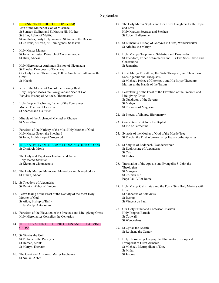### September

#### 1. BEGINNING OF THE CHURCH'S YEAR

Icon of the Mother of God of Miasinae St Symeon Stylites and St Martha His Mother St Silin, Abbot of Meifod St Aeithalas, Forty Holy Women, St Ammon the Deacon St Calistus, St Evod, St Hermogenes, St Joshua

- 2. Holy Martyr Mamas St John the Faster, Patriarch of Constantinople St Hieu, Abbess
- 3. Holy Hieromartyr Anthimus, Bishop of Nicomedia St Phoebe, Deaconess of Cenchrae Our Holy Father Theoctistus, Fellow Ascetic of Euthymius the Great St Macnis
- 4. Icon of the Mother of God of the Burning Bush Holy Prophet Moses the Law-giver and Seer of God Babylas, Bishop of Antioch, Hieromartyr
- 5. Holy Prophet Zacharias, Father of the Forerunner Mother Theresa of Calcutta St Sharbel and his Sister
- 6. Miracle of the Archangel Michael at Chonae St Maccallin
- 7. Forefeast of the Nativity of the Most Holy Mother of God Holy Martyr Sozon the Shepherd St John, Archbishop of Novgorod
- 8. THE NATIVITY OF THE MOST HOLY MOTHER OF GOD St Cynfarch, Monk
- 9. The Holy and Righteous Joachim and Anna Holy Martyr Severian St Kieran of Clonmacnois
- 10. The Holy Martyrs Menodora, Metrodora and Nymphodora St Finian, Abbot
- 11. St Theodora of Alexandria St Deiniol, Abbot of Bangor
- 12. Leave-taking of the Feast of the Nativity of the Most Holy Mother of God St Ailbe, Bishop of Emly Holy Martyr Autonomus
- 13. Forefeast of the Elevation of the Precious and Life- giving Cross Holy Hieromartyr Cornelius the Centurion
- 14. THE ELEVATION OF THE PRECIOUS AND LIFE-GIVING **CROSS**
- 15. St Nicetas the Goth St Philotheus the Presbyter St Hernan, Monk St Merryn, Hierarch
- 16. The Great and All-famed Martyr Euphemia St Ninian, Abbot
- 17. The Holy Martyr Sophia and Her Three Daughters Faith, Hope and Love Holy Martyrs Socrates and Stephen St Robert Ballermine
- 18. St Eumenius, Bishop of Gortynia in Crete, Wonderworker St Ariadne the Martyr
- 19. Holy Martyrs Trophimus, Sabbatius and Dorymedon St Theodore, Prince of Smolensk and His Two Sons David and Constantine St Januarius
- 20. Great Martyr Eustathius, His Wife Theopiste, and Their Two Sons Agapius and Theopistus St Michael, Prince of Chernigov and His Boyar Theodore, Martyrs at the Hands of the Tartars
- 21. Leavetaking of the Feast of the Elevation of the Precious and Life-giving Cross St Quadratus of the Seventy St Mabyn St Codratus of Magnesia
- 22. St Phocas of Sinope, Hieromartyr
- 23. Conception of St John the Baptist St Pio of Patrochino
- 24. Synaxis of the Mother of God of the Myrtle Tree St Thecla, the First Woman-martyr Equal-to-the Apostles
- 25. St Sergius of Radonezh, Wonderworker St Euphrosyne of Alexandria St Caian St Finbar
- 26. Translation of the Apostle and Evangelist St John the Theologian St Mawgan St Colman Elo Pope Paul VI of Rome
- 27. Holy Martyr Callistratus and the Forty Nine Holy Martyrs with Him St Sabbatius of Solovietsk St Barrog St Vincent de Paul
- 28. Our Holy Father and Confessor Chariton Holy Prophet Baruch St Conwall St Wenceslaus
- 29. St Cyriac the Ascetic St Rouhana the Cantor
- 30. Holy Hieromartyr Gregory the Illuminator, Bishop and Evangelist of Great Armenia St Michael, Metropolitan of Kiev St Midan St Jerome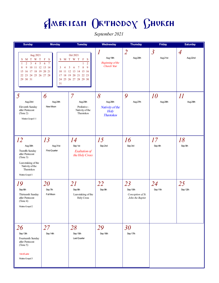September 2021

| <b>Sunday</b>                                                                                                                                                                                               | <b>Monday</b>                                           | <b>Tuesday</b>                                                                                                                                                    | Wednesday                                                              | <b>Thursday</b>                                         | <b>Friday</b>              | <b>Saturday</b>            |
|-------------------------------------------------------------------------------------------------------------------------------------------------------------------------------------------------------------|---------------------------------------------------------|-------------------------------------------------------------------------------------------------------------------------------------------------------------------|------------------------------------------------------------------------|---------------------------------------------------------|----------------------------|----------------------------|
| Aug 2021<br>M T W T<br>S<br>$\overline{1}$<br>$\overline{2}$<br>$\overline{3}$<br>$5\overline{)}$<br>$\overline{4}$<br>9<br>10 11 12 13 14<br>8<br>15 16 17 18 19 20 21<br>22 23 24 25 26 27 28<br>29 30 31 | $\mathbf F$<br>S<br>$\overline{7}$<br>6<br>3<br>4<br>31 | Oct 2021<br>S M T W T<br>F<br>$\mathbf S$<br>$\overline{2}$<br>8<br>9<br>5<br>$\tau$<br>6<br>10 11 12 13 14 15 16<br>17 18 19 20 21 22 23<br>24 25 26 27 28 29 30 | $\boldsymbol{l}$<br>Aug 19th<br><b>Beginning</b> of the<br>Church Year | $\overline{2}$<br>Aug 20th                              | $\mathfrak{Z}$<br>Aug 21st | $\overline{A}$<br>Aug 22nd |
| 5<br>Aug 23rd<br>Eleventh Sunday<br>after Pentecost<br>(Tone 2)<br>Matins Gospel 11                                                                                                                         | 6<br>Aug 24th<br>New Moon                               | $\overline{7}$<br>Aug 25th<br>Prefestive -<br>Nativity of the<br>Theotokos                                                                                        | 8<br>Aug 26th<br>Nativity of the<br><b>Holy</b><br><b>Theotokos</b>    | 9<br>Aug 27th                                           | <i>10</i><br>Aug 28th      | II<br>Aug 29th             |
| 12<br>Aug 30th<br>Twenfth Sunday<br>after Pentecost<br>(Tone 3)<br>Leavetaking of the<br>Nativity of the<br>Theotokos<br>Matins Gospel 1                                                                    | 13<br>Aug 31st<br>First Quarter                         | 14<br>Sep 1st<br><b>Exaltation of</b><br>the Holy Cross                                                                                                           | 15<br>Sep 2nd                                                          | 16<br>Sep 3rd                                           | 17<br>Sep 4th              | 18<br>Sep 5th              |
| 19<br>Sep 6th<br>Thirteenth Sunday<br>after Pentecost<br>(Tone 4)<br>Matins Gospel 2                                                                                                                        | 20<br>Sep 7th<br>Full Moon                              | 21<br>Sep 8th<br>Leavetaking of the<br>Holy Cross                                                                                                                 | 22<br>Sep 9th                                                          | 23<br>Sep 10th<br>Conception of St.<br>John the Baptist | 24<br>Sep 11th             | 25<br>Sep 12th             |
| 26<br>Sep 13th<br>Fourteenth Sunday<br>after Pentecost<br>(Tone 5)<br>1st of Luke<br>Matins Gospel 3                                                                                                        | 27<br>Sep 14th                                          | 28<br>Sep 15th<br>Last Quarter                                                                                                                                    | 29<br>Sep 16th                                                         | 30<br>Sep 17th                                          |                            |                            |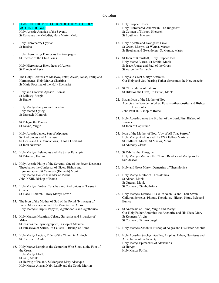### **October**

- 1. FEAST OF THE PROTECTION OF THE MOST HOLY MOTHER OF GOD Holy Apostle Ananias of the Seventy St Romanus the Melodist, Holy Martyr Melor
- 2. Holy Hieromartry Cyprian St Justina
- 3. Holy Hieromartyr Dionysius the Areopagite St Therese of the Child Jesus
- 4. Holy Hieromartyr Hierotheus of Athens St Francis of Assisi
- 5. The Holy Hierarchs of Moscow, Peter, Alexis, Jonas, Philip and Hermogenes, Holy Martyr Charitina St Maria Foustina of the Holy Eucharist
- 6. Holy and Glorious Apostle Thomas St Lalluwy, Virgin St Bruno
- 7. Holy Martyrs Sergius and Bacchus Holy Martyr Cynog St Dubtach, Hierarch
- 8. St Pelagia the Penitent St Keyne, Virgin
- 9. Holy Apostle James, Son of Alphaeus Ss Andronicus and Athanasia Ss Denis and his Companions, St John Lombardi, St John Newman
- 10. Holy Martyrs Eulampius and His Sister Eulampia St Patrician, Hierarch
- 11. Holy Apostle Philip of the Seventy, One of the Seven Deacons; Theophanes the Confessor of Nicea, Bishop and Hymnographer; St Cainnech (Kenneth) Monk Holy Martyr Boulos Iskander of Mosul John XXIII, Bishop of Rome
- 12. Holy Martyrs Probus, Tarachus and Andronicus of Tarsus in Cilicia St Fiace, Hierarch, Holy Martyr Edwin
- 13. The Icon of the Mother of God of the Portal (Ivirskaya) of Iviron Monastery on the Holy Mountain of Athos Holy Martyrs Carpus, Papylus, Agathodorus and Agathonica
- 14. Holy Martyrs Nazarius, Celsus, Gervasius and Protasius of Milan St Cosmas the Hymnographer, Bishop of Maiuma St Parasceva of Serbia, St Calistus I, Bishop of Rome
- 15. Holy Martyr Lucian, Elder of the Church in Antioch St Theresa of Avila
- 16. Holy Martyr Longinus the Centurion Who Stood at the Foot of the Cross, Holy Martyr Eloff, St Gall, Monk, St Hedwig of Poland, St Margaret Mary Alacoque Holy Martyr Ayman Nabil Labib and the Coptic Martyrs
- 17. Holy Prophet Hosea Holy Hieromartyr Andrew in 'The Judgment' St Colman of Kilroot, Hierarch St Louthiern, Hierarch
- 18. Holy Apostle and Evangelist Luke St Gwen, Martyr, St Wenna, Martyr, Ss Brothen and Gwendolen, St Monon, Martyr
- 19. St John of Kronstadt, Holy Prophet Joel Holy Martyr Varus, St Ethbin, Monk Ss Isaac Joques and Paul of the Cross St Aaron the Patriarch
- 20. Holy and Great Martyr Artemius Our Holy and God-bearing Father Gerasimus the New Ascetic
- 21. St Christodulus of Patmos St Hilarion the Great, St Fintan, Monk
- 22. Kazan Icon of the Mother of God Abercius the Wonder Worker, Equal-to-the-apostles and Bishop of Hieropolis John Paul II, Bishop of Rome
- 23. Holy Apostle James the Brother of the Lord, First Bishop of Jerusalem St John of Capistrano
- 24. Icon of the Mother of God, "Joy of All That Sorrow" Holy Martyr Arethas and His 4299 Fellow Martyrs St Cadfarch, Monk, St Maelor, Monk St Anthony Claret
- 25. St Tabitha the Almsgiver Holy Martyrs Marcian the Church Reader and Martyrius the Sub-deacon
- 26. Holy and Great Martyr Demetrius of Thessalonica
- 27. Holy Martyr Nestor of Thessalonica St Abban, Monk St Otteran, Monk St Colman of Senboth-fola
- 28. Holy Martyrs Terence, His Wife Neonilla and Their Seven Children Serbelus, Photus, Theodulus, Hierax, Nitus, Bele and Eunice
- 29. St Anastasia of Rome, Virgin and Martyr Our Holy Father Abramius the Anchorite and His Niece Mary St Kennera, Virgin St Colman of Kilmacduagh
- 30. Holy Martyrs Zenobius Bishop of Aegea and His Sister Zenobia
- 31. Holy Apostles Stachys, Apelles, Amplias, Urban, Narcissus and Aristobulus of the Seventy Holy Martyr Epimachus of Alexandria St Herygh Holy Martyr Foillan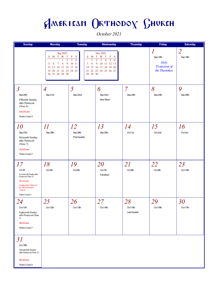October 2021

| <b>Sunday</b>                                                                                                                                                  | <b>Monday</b>                                                                                                                            | <b>Tuesday</b>                                                                                                       | Wednesday                                                                                                                                                                | <b>Thursday</b>                | Friday                                                  | <b>Saturday</b>                      |
|----------------------------------------------------------------------------------------------------------------------------------------------------------------|------------------------------------------------------------------------------------------------------------------------------------------|----------------------------------------------------------------------------------------------------------------------|--------------------------------------------------------------------------------------------------------------------------------------------------------------------------|--------------------------------|---------------------------------------------------------|--------------------------------------|
|                                                                                                                                                                | Sep 2021<br>M T W T<br>S<br>$\overline{2}$<br>9<br>7<br>8<br>5<br>6<br>14 15 16<br>12<br>13<br>20 21 22 23 24 25<br>19<br>26 27 28 29 30 | $_{\rm F}$<br>$\mathbf S$<br>S<br>M<br>$\overline{4}$<br>3<br>10 11<br>8<br>7<br>17 18<br>15<br>14<br>21<br>28 29 30 | Nov 2021<br>$\mathbf T$<br>W<br>$\mathbf{T}$<br>$\mathbf F$<br>-S<br>$\overline{2}$<br>3<br>5<br>4<br>6<br>9<br>10<br>11 12 13<br>17 18 19 20<br>16<br>22 23 24 25 26 27 |                                | 1<br>Sep 18th<br>Holy<br>Protection of<br>the Theotokos | $\overline{\mathcal{L}}$<br>Sep 19th |
| $\overline{3}$<br>Sep 20th<br>Fifteenth Sunday<br>after Pentecost<br>(Tone 6)<br>2nd of Luke<br>Matins Gospel 4                                                | $\overline{A}$<br>Sep 21st                                                                                                               | $\overline{5}$<br>Sep 22nd                                                                                           | 6<br>Sep 23rd<br>New Moon                                                                                                                                                | $\overline{7}$<br>Sep 24th     | 8<br>Sep 25th                                           | 9<br>Sep 26th                        |
| <i>10</i><br>Sep 27th<br>Sixteenth Sunday<br>after Pentecost<br>(Tone 7)<br>3rd of Luke<br>Matins Gospel 5                                                     | $\varPi$<br>Sep 28th                                                                                                                     | 12<br>Sep 29th<br>First Quarter                                                                                      | 13<br>Sep 30th                                                                                                                                                           | 14<br>Oct 1st                  | 15<br>Oct 2nd                                           | 16<br>Oct 3rd                        |
| 17<br>Oct 4th<br>Seventeenth Sunday after<br>Pentecost (Tone 8)<br>4th of Luke<br>Sunday of the Fathers of<br>the 7th Ecumenical<br>Council<br>Matins Gospel 6 | 18<br>Oct <sub>5th</sub>                                                                                                                 | 19<br>Oct6th                                                                                                         | 20<br>Oct7th<br>Full Moon                                                                                                                                                | 21<br>Oct8th                   | 22<br>Oct 9th                                           | 23<br>Oct 10th                       |
| 24<br>Oct 11th<br>Eighteenth Sunday<br>after Pentecost (Tone<br>1)<br>5th of Luke<br>Matins Gospel 7                                                           | 25<br>Oct 12th                                                                                                                           | 26<br>Oct 13th                                                                                                       | 27<br>Oct 14th                                                                                                                                                           | 28<br>Oct 15th<br>Last Quarter | 29<br>Oct 16th                                          | 30 <sup>°</sup><br>Oct 17th          |
| 31<br>Oct 18th<br>Nineeteenth Sunday<br>after Pentecost (Tone 2)<br>6th of Luke<br>Matins Gospel 8                                                             |                                                                                                                                          |                                                                                                                      |                                                                                                                                                                          |                                |                                                         |                                      |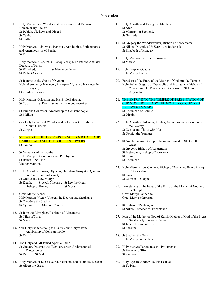### November

- 1. Holy Martyrs and Wonderworkers Cosmas and Damian, Unmercenary Healers Ss Pabiali, Cledwyn and Dingad St Ceitho, St Cadfan
- 2. Holy Martyrs Acindynus, Pegasius, Aphthonius, Elpidephorus and Anempodistus of Persia St Erc
- 3. Holy Martyrs Akepsimus, Bishop; Joseph, Priest; and Aethalas, Deacon, of Persia St Winefred, St Martin de Porres, St Richa (Alexis)
- 4. St Joannicius the Great of Olympus Holy Hieromartyr Nicander, Bishop of Myra and Hermeus the Presbyter, St Charles Borromeo
- 5. Holy Martyrs Galaction and His Bride Epistema St Cuby St Kea St Assia the Wonderworker
- 6. St Paul the Confessor, Archbishop of Constantinople St Mellion
- 7. Our Holy Father and Wonderworker Lazarus the Stylite of Mount Galesius St Congar
- 8. SYNAXIS OF THE HOLY ARCHANGELS MICHAEL AND GABRIEL AND ALL THE BODILESS POWERS St Tysilio
- 9. St Nektarios of Pentapolis Holy Martyrs Onesiphorus and Porphyrius St Benen, St Pabo Mother Matrona
- 10. Holy Apostles Erastus, Olympas, Herodian, Sosipater, Quartus and Tertius of the Seventy St Orestes the New Martyr St Eleath, St Aedh Macbricc St Leo the Great, Bishop of Rome, St Mora
- 11. Great Martyr Menas Holy Martyrs Victor, Vincent the Deacon and Stephanie St Theodore the Studite St Cyfran, St Martin of Tours
- 12. St John the Almsgiver, Patriarch of Alexandria St Nilus of Sinai St Machar
- 13. Our Holy Father among the Saints John Chrysostom, Archbishop of Constantinople St Denick
- 14. The Holy and All-famed Apostle Philip St Gregory Palamas the Wonderworker, Archbishop of Thessalonica St Dyfrig, St Malo
- 15. Holy Martyrs of Edessa Guria, Shamuna, and Habib the Deacon St Albert the Great
- 16. Holy Apostle and Evangelist Matthew St Afan St Margaret of Scotland, St Gertrude
- 17. St Gregory the Wonderworker, Bishop of Neocaesarea St Nikon, Disciple of St Sergius of Radonezh St Elizabeth of Hungary
- 18. Holy Martyrs Plato and Romanus St Mawes
- 19. Holy Prophet Obadiah Holy Martyr Barlaam
- 20. Forefeast of the Entry of the Mother of God into the Temple Holy Father Gregory of Decapolis and Proclus Archbishop of Constantinople, Disciple and Successor of St John Chrysostom
- 21. THE ENTRY INTO THE TEMPLE OR PRESENTATION OF OUR MOST HOLY LADY THE MOTHER OF GOD AND EVER-VIRGIN MARY St Columban of Bobbio

St Digain

- 22. Holy Apostles Philemon, Apphia, Archippus and Onesimus of the Seventy St Cecilia and Those with Her St Deiniol the Younger
- 23. St Amphilochius, Bishop of Iconium, Friend of St Basil the Great St Gregory, Bishop of Agrigentum St Metrophan, Bishop of Voronezh St Polin, St Columban
- 24. Holy Hieromartyrs Clement, Bishop of Rome and Peter, Bishop of Alexandria St Kenan St Colman of Cloyne
- 25. Leavetaking of the Feast of the Entry of the Mother of God into the Temple Great Martyr Katherine Great Martyr Mercurius
- 26. St Stylian of Paphlagonia St Nikon, Preacher of Repentance
- 27. Icon of the Mother of God of Kursk (Mother of God of the Sign) Great Martyr James of Persia St James, Bishop of Rostov St Seachnall
- 28. St Stephen the New Holy Martyr Irenarchus
- 29. Holy Martyrs Paramonus and Philumenus St Brendan of Birr St Sadwen
- 30. Holy Apostle Andrew the First-called St Tudwal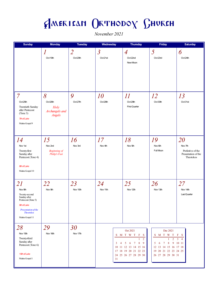November 2021

| <b>Sunday</b>                                                                                                                                      | <b>Monday</b>                                         | <b>Tuesday</b>             | Wednesday                           | <b>Thursday</b>                                                                                                                                                                                  | Friday                                                                                                                                            | <b>Saturday</b>                                                        |
|----------------------------------------------------------------------------------------------------------------------------------------------------|-------------------------------------------------------|----------------------------|-------------------------------------|--------------------------------------------------------------------------------------------------------------------------------------------------------------------------------------------------|---------------------------------------------------------------------------------------------------------------------------------------------------|------------------------------------------------------------------------|
|                                                                                                                                                    | Oct 19th                                              | $\overline{2}$<br>Oct 20th | $\overline{\mathcal{S}}$<br>Oct21st | $\overline{A}$<br>Oct 22nd<br>New Moon                                                                                                                                                           | $\overline{5}$<br>Oct 23rd                                                                                                                        | 6<br>Oct 24th                                                          |
| 7<br>Oct 25th<br>Twentieth Sunday<br>after Pentecost<br>(Tone 3)<br>7th of Luke<br>Matins Gospel 9                                                 | 8<br>Oct 26th<br>Holy<br>Archangels and<br>Angels     | 9<br>Oct 27th              | 10<br>Oct28th                       | 11<br>Oct 29th<br>First Quarter                                                                                                                                                                  | 12<br>Oct 30th                                                                                                                                    | 13<br>Oct 31st                                                         |
| 14<br>Nov 1st<br>Twenty-first<br>Sunday after<br>Pentecost (Tone 4)<br>8th of Luke<br>Matins Gospel 10                                             | 15<br>Nov 2nd<br><b>Beginning</b> of<br>Philip's Fast | 16<br>Nov 3rd              | 17<br>Nov 4th                       | 18<br>Nov 5th                                                                                                                                                                                    | 19<br>Nov <sub>6th</sub><br>Full Moon                                                                                                             | 20<br>Nov 7th<br>Prefestive of the<br>Presentation of the<br>Theotokos |
| 21<br>Nov 8th<br>Twenty-second<br>Sunday after<br>Pentecost (Tone 5)<br>9th of Luke<br>Presentation of the<br><b>Theotokos</b><br>Matins Gospel 11 | 22<br>Nov 9th                                         | 23<br>Nov 10th             | 24<br>Nov 11th                      | 25<br>Nov 12th                                                                                                                                                                                   | 26<br>Nov 13th                                                                                                                                    | 27<br>Nov 14th<br>Last Quarter                                         |
| 28<br>Nov 15th<br>Twenty-third<br>Sunday after<br>Pentecost (Tone 6)<br>10th of Luke<br>Matins Gospel 1                                            | 29<br>Nov 16th                                        | 30<br>Nov 17th             | $\mathbf{3}$<br>4<br>31             | Oct 2021<br>S M T W T<br>$\mathbf{F}$<br>- S<br>$\overline{2}$<br>1<br>$\overline{7}$<br>$\boldsymbol{8}$<br>6<br>9<br>5<br>10 11 12 13 14 15 16<br>17 18 19 20 21 22 23<br>24 25 26 27 28 29 30 | Dec 2021<br>S M T W T<br>2<br>1<br>6<br>$7\phantom{.0}$<br>8<br>9<br>5<br>12  13  14  15  16  17  18<br>19 20 21 22 23 24 25<br>26 27 28 29 30 31 | $\mathbf{F}$<br>- S<br>3<br>$\overline{4}$<br>10 11                    |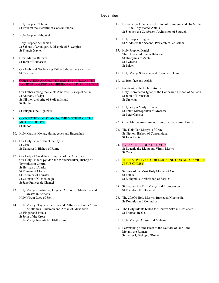### December

- 1. Holy Prophet Nahum St Philaret the Merciful of Constantinople
- 2. Holy Prophet Habbakuk
- 3. Holy Prophet Zephaniah St Sabbas of Svenigorod, Disciple of St Sergius St Francis Xavier
- 4. Great Martyr Barbara St John of Damascus
- 5. Our Holy and Godbearing Father Sabbas the Sanctified St Cawrdaf
- 6. OUR FATHER AMONG THE SAINTS NICHOLAS THE WONDERWORKER ARCHBISHOP OF MYRA IN LYCIA
- 7. Our Father among the Saints Ambrose, Bishop of Milan St Anthony of Siya St Nil the Anchorite of Stolben Island St Buithe
- 8. St Patapius the Righteous
- 9. CONCEPTION OF ST ANNA, THE MOTHER OF THE MOTHER OF GOD St Budoc
- 10. Holy Martrys Menas, Hermogenes and Eugraphus
- 11. Our Holy Father Daniel the Stylite St Cian St Damasus I, Bishop of Rome
- 12. Our Lady of Guadalupe, Empress of the Americas Our Holy Father Spyridon the Wonderworker, Bishop of Trymithus in Cyprus St Herman of Alaska St Finnian of Clonard St Columba of Leinster
	- St Colman of Glendalough
	- St Jane Frances de Chantel
- 13. Holy Martyrs Eustratius, Eugene, Auxentius, Mardarius and Orestes in Armenia Holy Virgin Lucy of Sicily
- 14. Holy Martrys Thyrsus, Leusius and Callinicus of Asia Minor, Apollonius, Philemon and Arrian of Alexandria Ss Fingar and Phiala St John of the Cross Holy Martyr Nemutallah El-Hardini
- 15. Hieromartyr Eleutherius, Bishop of Illyricum, and His Mother the Holy Martyr Anthia St Stephen the Confessor, Archbishop of Sourozh
- 16. Holy Prophet Haggai St Modestus the Second, Patriarch of Jerusalem
- 17. Holy Prophet Daniel The Three Children in Babylon St Dionysius of Zante St Tydecho St Briach
- 18. Holy Martyr Sebastian and Those with Him
- 19. Ss Boniface and Aglais
- 20. Forefeast of the Holy Nativity Holy Hieromartyr Ignatius the Godbearer, Bishop of Antioch St John of Kronstadt St Ursician
- 21. Holy Virgin Martyr Juliana St Peter, Metropolitan of Moscow St Peter Canisus
- 22. Great Martyr Anastasia of Rome, the Freer from Bonds
- 23. The Holy Ten Martyrs of Crete St Niphon, Bishop of Constantiana St John Kanty
- 24. EVE OF THE HOLY NATIVITY St Eugenia the Righteous Virgin Martyr St Caran
- 25. THE NATIVITY OF OUR LORD AND GOD AND SAVIOUR JESUS CHRIST
- 26. Synaxis of the Most Holy Mother of God St Tathai St Euthymius, Archbishop of Sardica
- 27. St Stephen the First Martyr and Protodeacon St Theodore the Branded
- 28. The 20,000 Holy Martyrs Burned at Nicomedia Ss Romulus and Conindrus
- 29. The Holy Infants Killed for Christ's Sake in Bethlehem St Thomas Becket
- 30. Holy Martyrs Anysia and Melania
- 31. Leavetaking of the Feast of the Nativity of Our Lord. Melany the Roman Sylvester I, Bishop of Rome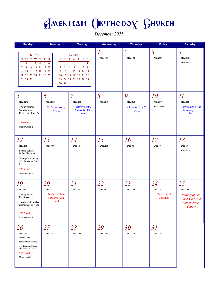December 2021

| <b>Sunday</b>                                                                                                                                                              | <b>Monday</b>                                                        | <b>Tuesday</b>                                                                                                               | Wednesday                    | <b>Thursday</b>                           | <b>Friday</b>                                 | <b>Saturday</b>                                                                       |
|----------------------------------------------------------------------------------------------------------------------------------------------------------------------------|----------------------------------------------------------------------|------------------------------------------------------------------------------------------------------------------------------|------------------------------|-------------------------------------------|-----------------------------------------------|---------------------------------------------------------------------------------------|
| Nov 2021<br>S M T W T<br>$\overline{2}$<br>$\mathbf{3}$<br>$\overline{4}$<br>$\mathbf{1}$<br>8<br>9<br>7<br>16 17 18 19 20<br>15<br>14<br>21 22 23 24 25 26 27<br>28 29 30 | F<br>S<br>$\mathfrak{S}$<br>6<br>10 11 12 13<br>2<br>3<br>9<br>30 31 | Jan 2022<br>S M T W T F S<br>1<br>8<br>5<br>6<br>7<br>4<br>10 11 12 13 14 15<br>16 17 18 19 20 21 22<br>23 24 25 26 27 28 29 | $\boldsymbol{l}$<br>Nov 18th | $\overline{2}$<br>Nov 19th                | $\overline{\mathcal{S}}$<br>Nov 20th          | $\overline{A}$<br>Nov 21st<br>New Moon                                                |
| 5<br>Nov 22nd<br>Twenty-fourth<br>Sunday after<br>Pentecost (Tone 7)<br>11th of Luke<br>Matins Gospel 2                                                                    | 6<br>Nov 23rd<br>St. Nicholas of<br>Myra                             | 7<br>Nov 24th<br>Prefestive of the<br>Maternity of St.<br>Anne                                                               | 8<br>Nov 25th                | 9<br>Nov 26th<br>Maternity of St.<br>Anne | <i>10</i><br>Nov 27th<br><b>First Quarter</b> | II<br>Nov 28th<br>Leavetaking of the<br>Maternity of St.<br>Anne                      |
| 12<br>Nov 29th<br>Second Sunday<br>before Christmas<br>Twenty-fifth Sunday<br>after Pentecost (Tone<br>8)<br>12th of Luke<br>Matins Gospel 3                               | 13<br>Nov 30th                                                       | 14<br>Dec 1st                                                                                                                | 15<br>Dec 2nd                | 16<br>Dec 3rd                             | 17<br>Dec 4th                                 | 18<br>Dec 5th<br>Full Moon                                                            |
| 19<br>Dec 6th<br>Sunday Before<br>Christmas<br>Twenty-sixth Sunday<br>after Pentecost (Tone<br>1)<br>13th of Luke<br>Matins Gospel 4                                       | 20<br>Dec 7th<br>Prefestive of the<br>Nativity of Our<br>Lord        | 21<br>Dec 8th                                                                                                                | 22<br>Dec 9th                | 23<br>Dec 10th                            | 24<br>Dec 11th<br>Paramony of<br>Christmas    | 25<br>Dec 12th<br>Nativity of Our<br>Lord, God, and<br>Savior, Jesus<br><b>Christ</b> |
| 26<br>Dec 13th<br>Last Quarter<br>Sunday After Christmas<br>Twenty-seventh Sunday<br>after Pentecost (Tone 2)<br>14th of Luke<br>Matins Gospel 5                           | 27<br>Dec 14th                                                       | 28<br>Dec 15th                                                                                                               | 29<br>Dec 16th               | 30<br>Dec 17th                            | 31<br>Dec 18th                                |                                                                                       |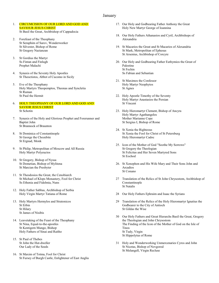#### January

#### 1. CIRCUMCISION OF OUR LORD AND GOD AND SAVIOUR JESUS CHRIST St Basil the Great, Archbishop of Cappadocia

- 2. Forefeast of the Theophany St Seraphim of Sarov, Wonderworker St Silvester, Bishop of Rome St Gregory Nazianzan
- 3. St Gordius the Martyr Ss Fintan and Finlugh Prophet Malachi
- 4. Synaxis of the Seventy Holy Apostles St Theoctistos, Abbot of Cucomo in Sicily
- 5. Eve of the Theophany Holy Martyrs Theopemptos, Theonas and Syncletia St Ruman St Paul the Hermit
- 6. HOLY THEOPHANY OF OUR LORD AND GOD AND SAVIOR JESUS CHRIST St Schotin
- 7. Synaxis of the Holy and Glorious Prophet and Forerunner and Baptist John St Brannock of Braunton
- 8. St Dominica of Constantinople St George the Chozebite St Ergnad, Monk
- 9. St Philip, Metropolitan of Moscow and All Russia Holy Martyr Polyeuctos
- 10. St Gregory, Bishop of Nyssa St Dometian, Bishop of Mylitena St Marcian the Presbyter
- 11. St Theodosios the Great, the Cenobiarch St Michael of Klops Monastery, Fool for Christ Ss Ethenia and Fidelmia, Nuns
- 12. Holy Father Sabbas, Archbishop of Serbia Holy Virgin Martyr Tatiana of Rome
- 13. Holy Martyrs Hermylos and Stratonicos St Erbin St Hilary St James of Nisibis
- 14. Leavetaking of the Feast of the Theophany St Nina, Equal-to-the-apostles St Kentigern Mungo, Bishop Holy Fathers of Sinai and Raitho
- 15. St Paul of Thebes St John the Hut-dweller Our Lady of the Seeds
- 16. St Maxim of Totma, Fool for Christ St Fursey of Burgh Castle, Enlightener of East Anglia
- 17. Our Holy and Godbearing Father Anthony the Great Holy New Martyr George of Ioannina
- 18. Our Holy Fathers Athanasios and Cyril, Archbishops of Alexandria
- 19. St Macarios the Great and St Macarios of Alexandria St Mark, Metropolitan of Ephesus St Arsenius, Archbishop of Corcyre
- 20. Our Holy and Godbearing Father Euthymios the Great of Palestine St Fechin Ss Fabian and Sebastian
- 21. St Maximos the Confessor Holy Martyr Neophytos St Agnes
- 22. Holy Apostle Timothy of the Seventy Holy Martyr Anastasios the Persian St Vincent
- 23. Holy Hieromartyr Clement, Bishop of Ancyra Holy Martyr Agathangelos Mother Marianne Cope St Sergius I, Bishop of Rome
- 24. St Xenia the Righteous St Xenia the Fool for Christ of St Petersburg Holy Hieromartyr Cadoc
- 25. Icon of the Mother of God "Soothe My Sorrows" St Gregory the Theologian St Felicitas and Her Seven Martyred Sons St Eochod
- 26. St Xenophon and His Wife Mary and Their Sons John and Arcadios St Conano
- 27 Translation of the Relics of St John Chrysostom, Archbishop of Constantinople St Natalis
- 28 Our Holy Fathers Ephraim and Isaac the Syrians
- 29 Translation of the Relics of the Holy Hieromartyr Ignatius the Godbearer to the City of Antioch St Gildas the Wise
- 30 Our Holy Fathers and Great Hierarchs Basil the Great, Gregory the Theologian and John Chrysostom The Finding of the Icon of the Mother of God on the Isle of Tinos St Tudy, Virgin St Hippolytus of Rome
- 31 Holy and Wonderworking Unmercenaries Cyros and John St Nicetas, Bishop of Novgorod St Melangell, Virgin Recluse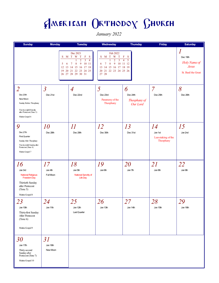January 2022

| <b>Sunday</b>                                                                                                                           | <b>Monday</b>                 | <b>Tuesday</b>                                                                                                                                                          | Wednesday                                                                                                                     | <b>Thursday</b>                                      | <b>Friday</b>                                    | <b>Saturday</b>                                                 |
|-----------------------------------------------------------------------------------------------------------------------------------------|-------------------------------|-------------------------------------------------------------------------------------------------------------------------------------------------------------------------|-------------------------------------------------------------------------------------------------------------------------------|------------------------------------------------------|--------------------------------------------------|-----------------------------------------------------------------|
|                                                                                                                                         | S<br>5<br>6<br>12<br>13<br>19 | Dec 2021<br>M T W T<br>F<br>S<br>$\overline{3}$<br>$\overline{4}$<br>$\overline{2}$<br>8<br>9<br>10 11<br>7<br>14 15 16 17 18<br>20 21 22 23 24 25<br>26 27 28 29 30 31 | Feb 2022<br>M T W T<br>S<br>3<br>2<br>$\tau$<br>8<br>10<br>9<br>6<br>13 14 15 16 17 18 19<br>21 22 23 24 25 26<br>20<br>27 28 | F<br>-S<br>$\overline{5}$<br>$\overline{4}$<br>11 12 |                                                  | Dec 19th<br>Holy Name of<br><b>Jesus</b><br>St. Basil the Great |
| $\overline{2}$<br>Dec 20th<br>New Moon<br>Sunday Before Theophany<br>Twenty-eighthSunday<br>after Pentecost (Tone 3)<br>Matins Gospel 6 | $\overline{3}$<br>Dec 21st    | $\overline{A}$<br>Dec 22nd                                                                                                                                              | $\overline{\mathcal{S}}$<br>Dec 23rd<br>Paramony of the<br>Theophany                                                          | 6<br>Dec 24th<br>Theophany of<br>Our Lord            | $\overline{7}$<br>Dec 25th                       | 8<br>Dec 26th                                                   |
| 9<br>Dec 27th<br><b>First Quarter</b><br>Sunday After Theophany<br>Twe nty-ninth Sunday after<br>Pentecost (Tone 4)<br>Matins Gospel 7  | <i>10</i><br>Dec 28th         | $\mathcal{U}% =\mathcal{U}^{\ast }(\mathcal{A})$<br>Dec 29th                                                                                                            | 12<br>Dec 30th                                                                                                                | 13<br>Dec 31st                                       | 14<br>Jan 1st<br>Leavetaking of the<br>Theophany | 15<br>Jan 2nd                                                   |
| 16<br>Jan 3rd<br><b>National Religious</b><br><b>Freedom Day</b><br>Thirtieth Sunday<br>after Pentecost<br>(Tone 5)<br>Matins Gospel 8  | 17<br>Jan 4th<br>Full Moon    | 18<br>Jan 5th<br><b>National Sanctity of</b><br>Life Day                                                                                                                | 19<br>Jan 6th                                                                                                                 | <i>20</i><br>Jan 7th                                 | 21<br>Jan 8th                                    | 22<br>Jan 9th                                                   |
| 23<br>Jan 10th<br>Thirty-first Sunday<br>After Pentecost<br>(Tone 6)<br>Matins Gospel 9                                                 | 24<br>Jan 11th                | 25<br>Jan 12th<br>Last Quarter                                                                                                                                          | 26<br>Jan 13th                                                                                                                | 27<br>Jan 14th                                       | 28<br>Jan 15th                                   | 29<br>Jan 16th                                                  |
| <i>30</i><br>Jan 17th<br>Thirty-second<br>Sunday after<br>Pentecost (Tone 7)<br>Matins Gospel 10                                        | 31<br>Jan 18th<br>New Moon    |                                                                                                                                                                         |                                                                                                                               |                                                      |                                                  |                                                                 |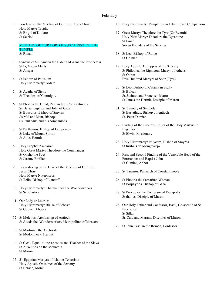### February

- 1. Forefeast of the Meeting of Our Lord Jesus Christ Holy Martyr Trypho St Brigid of Kildare St Seiriol
- 2. MEETING OF OUR LORD JESUS CHRIST IN THE TEMPLE St Ronan
- 3. Synaxis of Ss Symeon the Elder and Anna the Prophetess St Ia, Virgin Martyr St Ansgar
- 4. St Isidore of Pelusium Holy Hieromartyr Aldate
- 5. St Agatha of Sicily St Theodosi of Chernigov
- 6. St Photios the Great, Patriarch of Constantinople Ss Barsanouphios and John of Gaza St Boucolos, Bishop of Smyrna Ss Mel and Mun, Bishops Ss Paul Miki and his companions
- 7. St Parthenios, Bishop of Lampsacos St Luke of Mount Stirion St Aule, Hermit
- 8. Holy Prophet Zachariah Holy Great Martyr Theodore the Commander St Oncho the Poet St Jerome Emiliani
- 9. Leave-taking of the Feast of the Meeting of Our Lord Jesus Christ Holy Martyr Nikephoros St Teilo, Bishop of Llandaff
- 10. Holy Hieromartyr Charalampos the Wonderworker St Scholastica
- 11. Our Lady or Lourdes Holy Hieromartyr Blaise of Sebaste St Gobnet, Abbess
- 12. St Meletios, Archbishop of Antioch St Alexis the Wonderworker, Metropolitan of Moscow
- 13. St Martinian the Anchorite St Modomnock, Hermit
- 14. St Cyril, Equal-to-the-apostles and Teacher of the Slavs St Auxentios on the Mountain St Maron
- 15. 21 Egyptian Martyrs of Islamic Terrorism Holy Apostle Onesimos of the Seventy St Berach, Monk
- 16. Holy Hieromartyr Pamphilos and His Eleven Companions
- 17. Great Martyr Theodore the Tyro (Or Recruit) Holy New Martyr Theodore the Byzantine St Finan Seven Founders of the Servites
- 18. St Leo, Bishop of Rome St Colman
- 19. Holy Apostle Archippos of the Seventy St Philothea the Righteous Martyr of Athens St Odran Five Hundred Martyrs of Soor (Tyre)
- 20. St Leo, Bishop of Catania in Sicily St Bolcan Ss Jacinto, and Francisco Marto St James the Hermit, Disciple of Maron
- 21. St Timothy of Symbola St Eustathius, Bishop of Antioch St. Peter Damian
- 22. Finding of the Precious Relics of the Holy Martyrs in Eugenios St Elwin, Missionary
- 23. Holy Hieromartyr Polycarp, Bishop of Smyrna St turibius de Mongrovejo
- 24. First and Second Finding of the Venerable Head of the Forerunner and Baptist John St Cumine, Abbot
- 25. St Tarasios, Patriarch of Constantinople
- 26. St Photina the Samaritan Woman St Porphyrios, Bishop of Gaza
- 27. St Procopios the Confessor of Decapolis St thallus, Disciple of Maron
- 28. Our Holy Father and Confessor, Basil, Co-ascetic of St Procopios St Sillan Ss Cura and Marana, Disciples of Maron
- 29. St John Cassian the Roman, Confessor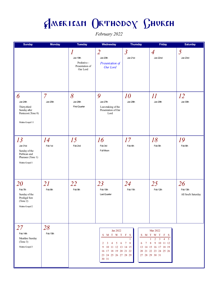February 2022

| <b>Sunday</b>                                                                           | <b>Monday</b>              | <b>Tuesday</b>                                                              | Wednesday                                                                                                                                                           | <b>Thursday</b>                      | Friday                                                                                                                                                 | <b>Saturday</b>                       |
|-----------------------------------------------------------------------------------------|----------------------------|-----------------------------------------------------------------------------|---------------------------------------------------------------------------------------------------------------------------------------------------------------------|--------------------------------------|--------------------------------------------------------------------------------------------------------------------------------------------------------|---------------------------------------|
|                                                                                         |                            | $\boldsymbol{l}$<br>Jan 19th<br>Prefestive -<br>Presentation of<br>Our Lord | $\overline{2}$<br>Jan 20th<br>Presentation of<br>Our Lord                                                                                                           | $\overline{\mathcal{S}}$<br>Jan 21st | $\overline{A}$<br>Jan 22nd                                                                                                                             | 5<br>Jan 23rd                         |
| 6<br>Jan 24th<br>Thirty-third<br>Sunday after<br>Pentecost (Tone 8)<br>Matins Gospel 11 | $\overline{7}$<br>Jan 25th | 8<br>Jan 26th<br>First Quarter                                              | 9<br>Jan 27th<br>Leavetaking of the<br>Presentation of Our<br>Lord                                                                                                  | <i>10</i><br>Jan 28th                | $\varPi$<br>Jan 29th                                                                                                                                   | 12<br>Jan 30th                        |
| 13<br>Jan 31st<br>Sunday of the<br>Publican and<br>Pharasee (Tone 1)<br>Matins Gospel 1 | 14<br>Feb 1st              | 15<br>Feb 2nd                                                               | 16<br>Feb 3rd<br>Full Moon                                                                                                                                          | 17<br>Feb 4th                        | 18<br>Feb 5th                                                                                                                                          | 19<br>Feb 6th                         |
| 20<br>Feb 7th<br>Sunday of the<br>Prodigal Son<br>(Tone 2)<br>Matins Gospel 2           | 21<br>Feb 8th              | 22<br>Feb 9th                                                               | 23<br>Feb 10th<br>Last Quarter                                                                                                                                      | 24<br>Feb 11th                       | 25<br>Feb 12th                                                                                                                                         | 26<br>Feb 13th<br>All Soul's Saturday |
| 27<br>Feb 14th<br>Meatfare Sunday<br>(Tone 3)<br>Matins Gospel 3                        | 28<br>Feb 15th             |                                                                             | Jan 2022<br>S M T W T F S<br>$5\quad 6$<br>$\overline{2}$<br>3 <sup>7</sup><br>4<br>10 11 12 13 14 15<br>9<br>16 17 18 19 20 21 22<br>23 24 25 26 27 28 29<br>30 31 | $\tau$<br>7<br>8<br>6                | Mar 2022<br>S M T W T F S<br>$4 \quad 5$<br>3<br>2<br>$\boldsymbol{8}$<br>9 10 11 12<br>13 14 15 16 17 18 19<br>20 21 22 23 24 25 26<br>27 28 29 30 31 |                                       |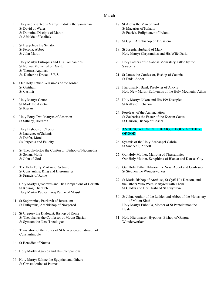### March

- 1. Holy and Righteous Martyr Eudokia the Samaritan St David of Wales St Domnina Disciple of Maron St Afdokia of Baalbek
- 2. St Hesychios the Senator St Ferona, Abbot St John Maron
- 3. Holy Martyr Eutropius and His Companions St Nonna, Mother of St David, St Thomas Aquinas, St. Katherine Drexel, S.B.S.
- 4. Our Holy Father Gerasimos of the Jordan St Gistilian St Casimir
- 5. Holy Martyr Conon St Mark the Ascetic St Kieran
- 6. Holy Forty Two Martyrs of Amorion St Sithney, Hierarch
- 7. Holy Bishops of Cherson St Laurence of Salamis St Deifer, Monk Ss Perpetua and Felicity
- 8. St Theophylactos the Confessor, Bishop of Nicomedia St Senan, Monk St John of God
- 9. The Holy Forty Martyrs of Sebaste St Constantine, King and Hieromartyr St Francis of Rome
- 10. Holy Martyr Quadratus and His Companions of Corinth St Kessog, Hierarch Holy Martyr Paulos Faraj Rahho of Mosul
- 11. St Sophronios, Patriarch of Jerusalem St Euthymius, Archbishop of Novgorod
- 12. St Gregory the Dialogist, Bishop of Rome St Theophanes the Confessor of Mount Sigrian St Symeon the New Theologian
- 13. Translation of the Relics of St Nikephoros, Patriarch of Constantinople
- 14 St Benedict of Nursia
- 15. Holy Martyr Agapios and His Companions
- 16. Holy Martyr Sabine the Egyptian and Others St Christodoulos of Patmos
- 17. St Alexis the Man of God St Macarius of Kalazin St Patrick, Enlightener of Ireland
- 18. St Cyril, Archbishop of Jerusalem
- 19. St Joseph, Husband of Mary Holy Martyr Chrysanthos and His Wife Daria
- 20. Holy Fathers of St Sabbas Monastery Killed by the Saracens
- 21. St James the Confessor, Bishop of Catania St Enda, Abbot
- 22. Hieromartyr Basil, Presbyter of Ancyra Holy New Martyr Euthymios of the Holy Mountain, Athos
- 23. Holy Martyr Nikon and His 199 Disciples St Rafka of Lebanon
- 24. Forefeast of the Annunciation St Zacharias the Faster of the Kievan Caves St Cairlon, Bishop of Cashel
- 25. ANNUNCIATION OF THE MOST HOLY MOTHER OF GOD
- 26. Synaxis of the Holy Archangel Gabriel St Sincheall, Abbott
- 27. Our Holy Mother, Matrona of Thessalonica Our Holy Mother, Seraphima of Blanco and Kansas City
- 28. Our Holy Father Hilarion the New, Abbot and Confessor St Stephen the Wonderworker
- 29. St Mark, Bishop of Arethusa, St Cyril His Deacon, and the Others Who Were Martyred with Them St Gladys and Her Husband St Gwynllyn
- 30. St John, Author of the Ladder and Abbot of the Monastery of Mount Sinai Holy Martyr Euboula, Mother of St Panteleimon the Healer
- 31. Holy Hieromartyr Hypatios, Bishop of Gangra, Wonderworker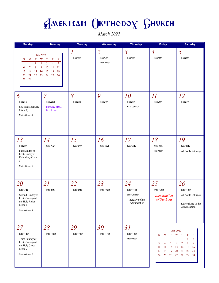March 2022

| <b>Sunday</b>                                                                                                                                      | <b>Monday</b>                                                                                           | <b>Tuesday</b>               | Wednesday                              | <b>Thursday</b>                                                     | Friday                                                                                                             | <b>Saturday</b>                                                                                         |
|----------------------------------------------------------------------------------------------------------------------------------------------------|---------------------------------------------------------------------------------------------------------|------------------------------|----------------------------------------|---------------------------------------------------------------------|--------------------------------------------------------------------------------------------------------------------|---------------------------------------------------------------------------------------------------------|
| Feb 2022<br>W<br>S<br>T<br>M<br>$\overline{2}$<br>1<br>$\boldsymbol{8}$<br>9<br>7<br>6<br>15<br>13<br>14<br>16<br>21<br>22<br>23<br>20<br>27<br>28 | $\mathbf T$<br>F<br>S<br>3<br>5<br>$\overline{4}$<br>10<br>11<br>12<br>17<br>19<br>18<br>24<br>25<br>26 | $\boldsymbol{l}$<br>Feb 16th | $\overline{2}$<br>Feb 17th<br>New Moon | $\mathfrak{Z}$<br>Feb 18th                                          | $\overline{A}$<br>Feb 19th                                                                                         | 5<br>Feb 20th                                                                                           |
| 6<br>Feb 21st<br>Cheesefare Sunday<br>(Tone 4)<br>Matins Gospel 4                                                                                  | 7<br>Feb 22nd<br>First day of the<br><b>Great Fast</b>                                                  | 8<br>Feb 23rd                | 9<br>Feb 24th                          | 10<br>Feb 25th<br>First Quarter                                     | $I\hspace{-.1em}I$<br>Feb 26th                                                                                     | 12<br>Feb 27th                                                                                          |
| 13<br>Feb 28th<br>First Sunday of<br>Lent-Sunday of<br>Orthodoxy (Tone<br>5)<br>Matins Gospel 5                                                    | 14<br>Mar 1st                                                                                           | 15<br>Mar 2nd                | 16<br>Mar 3rd                          | 17<br>Mar 4th                                                       | 18<br>Mar 5th<br>Full Moon                                                                                         | 19<br>Mar 6th<br>All Soul's Saturday                                                                    |
| 20<br>Mar 7th<br>Second Sunday of<br>Lent - Sunday of<br>the Holy Relics<br>(Tone 6)<br>Matins Gospel 6                                            | 21<br>Mar 8th                                                                                           | 22<br>Mar 9th                | 23<br>Mar 10th                         | 24<br>Mar 11th<br>Last Quarter<br>Prefestive of the<br>Annunciation | 25<br>Mar 12th<br><b>Annunciation</b><br>of Our Lord                                                               | 26<br>Mar 13th<br>All Soul's Saturday<br>Leavetaking of the<br>Annunciation                             |
| 27<br>Mar 14th<br>Third Sunday of<br>Lent - Sunday of<br>the Holy Cross<br>(Tone 7)<br>Matins Gospel 7                                             | 28<br>Mar 15th                                                                                          | 29<br>Mar 16th               | 30<br>Mar 17th                         | 31<br>Mar 18th<br>New Moon                                          | Apr 2022<br>T W<br>S<br>M<br>4<br>5<br>6<br>3<br>10<br>11<br>12<br>13<br>18<br>17<br>19<br>20<br>25<br>26 27<br>24 | T<br>F<br>S<br>$\overline{2}$<br>1<br>9<br>8<br>7<br>15<br>14<br>16<br>21<br>22<br>23<br>28<br>29<br>30 |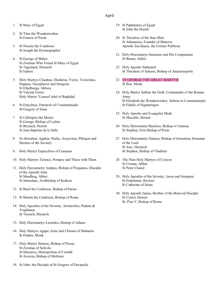### April

- 1. St Mary of Egypt
- 2. St Titus the Wonderworker St Francis of Paola
- 3. St Nicetas the Confessor St Joseph the Hymnographer
- 4. St George of Maleo St Zosimas Who Found St Mary of Egypt St Tigernach, Hierarch St Isidore
- 5. Holy Martyrs Claudius, Diodorus, Victor, Victorinus, Pappius, Necephoros and Serapion St Ethelburga, Abbess St Vincent Ferrer Holy Martyr Youssef Adel of Baghdad
- 6. St Eutychios, Patriarch of Constantinople St Gregory of Sinai
- 7. St Calliopios the Martyr St George, Bishop of Lesbos St Brynach, Hermit St Jean Baptiste de le Salle
- 8. Ss Herodion, Agabus, Rufus, Asyncritus, Phlegon and Hermes of the Seventy
- 9. Holy Martyr Eupsychios of Caesarea
- 10. Holy Martyrs Terence, Pompey and Those with Them
- 11. Holy Hieromartyr Antipas, Bishop of Pergamos, Disciple of the Apostle John St Maedhog, Abbot St Stanislaus, Archbishop of Krakow
- 12. St Basil the Confessor, Bishop of Parios
- 13. St Martin the Confessor, Bishop of Rome
- 14. Holy Apostles of the Seventy, Aristarchos, Pudens & Trophimus St Tassach, Hierarch
- 15. Holy Hieromartyr Leonides, Bishop of Athens
- 16. Holy Martyrs Agape, Irene and Chionia of Dalmatia St Padarn, Monk
- 17. Holy Martyr Simeon, Bishop of Persia St Zosimas of Solovki St Macarios, Metropolitan of Corinth St Acacius, Bishop of Melitene
- 18. St John, the Disciple of St Gregory of Decapolis
- 19 St Paphnutios of Egypt St John the Hermit
- 20. St Theodore of the Hair Shirt St Athanasios, Founder of Meteora Apostle Zacchaeus, the Former Publican
- 21. Holy Hieromartyr Januarius and His Companions St Bueno, Abbot
- 22. Holy Apostle Nathaniel St Theodore of Sykeon, Bishop of Anastasiopolis
- 23. ST GEORGE THE GREAT MARTYR St Ibar, Monk
- 24. Holy Martyr Sabbas the Goth, Commander of the Roman Army St Elizabeth the Wonderworker, Abbess in Constantinople St Fidelis of Sigmaringen
- 25. Holy Apostle and Evangelist Mark St Macaille, Hermit
- 26. Holy Hieromartyr Basileos, Bishop of Amasea St Stephen, First Bishop of Perm
- 27. Holy Hieromartyr Simeon, Bishop of Jerusalem, Kinsman of the Lord St Asic, Hierarch St Stephen, Bishop of Vladimir
- 28. The Nine Holy Martyrs of Cyzicos St Cronan, Abbot St Peter Chanel
- 29. Holy Apostles of the Seventy, Jason and Sosipater St Endelienta, Recluse St Catherine of Siena
- 30. Holy Apostle James, Brother of the Beloved Disciple St Cynwl, Hermit St. Pius V, Bishop of Rome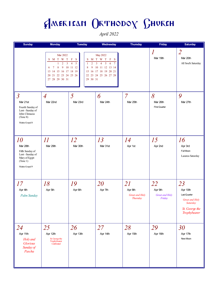April 2022

| <b>Sunday</b>                                                                                                      | <b>Monday</b>                                                                                                                                                                                                     | <b>Tuesday</b>                                                                                                                           | Wednesday                                                                                                                                                                  | <b>Thursday</b>                                           | Friday                                    | <b>Saturday</b>                                                                                |
|--------------------------------------------------------------------------------------------------------------------|-------------------------------------------------------------------------------------------------------------------------------------------------------------------------------------------------------------------|------------------------------------------------------------------------------------------------------------------------------------------|----------------------------------------------------------------------------------------------------------------------------------------------------------------------------|-----------------------------------------------------------|-------------------------------------------|------------------------------------------------------------------------------------------------|
|                                                                                                                    | Mar 2022<br>$S \quad M \quad T \quad W \quad T$<br>$\overline{2}$<br>$\overline{3}$<br>$\mathbf{1}$<br>$\bf 8$<br>$\overline{9}$<br>$\tau$<br>6<br>13 14 15 16 17 18 19<br>20 21 22 23 24 25 26<br>27 28 29 30 31 | $\mathbf F$<br><sub>S</sub><br>S<br>$\overline{4}$<br>$\overline{5}$<br>$\overline{2}$<br>$\mathbf{1}$<br>10 11 12<br>9<br>8<br>29 30 31 | May 2022<br>M T W T<br>$\mathbf{F}$<br>S<br>$\overline{3}$<br>5<br>6<br>$\overline{7}$<br>$\overline{4}$<br>10 11 12 13 14<br>15 16 17 18 19 20 21<br>22 23 24 25 26 27 28 |                                                           | 1<br>Mar 19th                             | $\overline{2}$<br>Mar 20th<br>All Soul's Saturday                                              |
| $\overline{3}$<br>Mar 21st<br>Fourth Sunday of<br>Lent - Sunday of<br>John Climacus<br>(Tone 8)<br>Matins Gospel 8 | $\overline{A}$<br>Mar 22nd                                                                                                                                                                                        | 5<br>Mar 23rd                                                                                                                            | 6<br>Mar 24th                                                                                                                                                              | $\overline{7}$<br>Mar 25th                                | 8<br>Mar 26th<br><b>First Quarter</b>     | 9<br>Mar 27th                                                                                  |
| 10<br>Mar 28th<br>Fifth Sunday of<br>Lent - Sunday of<br>Mary of Egypt<br>(Tone 1)<br>Matins Gospel 9              | II<br>Mar 29th                                                                                                                                                                                                    | 12<br>Mar 30th                                                                                                                           | 13<br>Mar 31st                                                                                                                                                             | 14<br>Apr 1st                                             | 15<br>Apr 2nd                             | 16<br>Apr 3rd<br>Full Moon<br>Lazarus Saturday                                                 |
| 17<br>Apr 4th<br>Palm Sunday                                                                                       | 18<br>Apr 5th                                                                                                                                                                                                     | 19<br>Apr 6th                                                                                                                            | 20<br>Apr 7th                                                                                                                                                              | 21<br>Apr 8th<br><b>Great and Holy</b><br><b>Thursday</b> | 22<br>Apr 9th<br>Great and Holy<br>Friday | 23<br>Apr 10th<br>Last Quarter<br>Great and Holy<br>Saturday<br>St. George the<br>Trophybearer |
| 24<br>Apr 11th<br>Holy and<br>Glorious<br>Sunday of<br>Pascha                                                      | 25<br>Apr 12th<br>St. George the<br>Trophybearer<br>Celebrated                                                                                                                                                    | 26<br>Apr 13th                                                                                                                           | 27<br>Apr 14th                                                                                                                                                             | 28<br>Apr 15th                                            | 29<br>Apr 16th                            | 30<br>Apr 17th<br>New Moon                                                                     |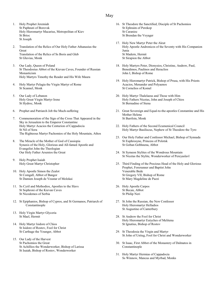#### May

- 1. Holy Prophet Jeremiah St Paphnuti of Borovsk Holy Hieromartyr Macarius, Metropolitan of Kiev St Brioc St Joseph
- 2. Translation of the Relics of Our Holy Father Athanasius the Great Translation of the Relics of Ss Boris and Gleb St Gluvias, Monk
- 3. Our Lady, Queen of Poland St Theodosius Abbot of the Kievan Caves, Founder of Russian Monasticism Holy Martyrs Timothy the Reader and His Wife Maura
- 4. Holy Martyr Pelagia the Virgin Martyr of Rome St Scannel, Monk
- 5. Our Lady of Lebanon Holy Great Virgin Martyr Irene St Hydroc, Monk
- 6. Prophet and Patriarch Job the Much-suffering
- 7. Commemoration of the Sign of the Cross That Appeared in the Sky in Jerusalem to the Emperor Constantine Holy Martyr Acacios the Centurion of Cappadocia St Nil of Sora The Righteous Martyr Pachomios of the Holy Mountain, Athos
- 8. The Miracle of the Mother of God of Cassiopia Synaxis of the Holy, Glorious and All-famed Apostle and Evangelist John the Theologian Our Holy Father Arsenios the Great
- 9. Holy Prophet Isaiah Holy Great Martyr Christopher
- 10. Holy Apostle Simon the Zealot St Comgall, Abbot of Bangor St Damien Joseph de Veustar of Molokai
- 11. Ss Cyril and Methodios, Apostles to the Slavs St Sophroni of the Kievan Caves St Nicodemos of Serbia
- 12. St Epiphanios, Bishop of Cypros, and St Germanos, Patriarch of Constantinople
- 13. Holy Virgin Martyr Glyceria St Mael, Hermit
- 14. Holy Martyr Isidore of Chios St Isidore of Rostov, Fool for Christ St Carthage the Younger, Abbot
- 15. Our Lady of the Harvest St Pachomios the Great St Achillios the Wonderworker, Bishop of Larissa St Isaiah, Bishop of Rostov, Wonderworker
- 16. St Theodore the Sanctified, Disciple of St Pachomios St Ephraim of Perekop St Caranioc St Brendan the Voyager
- 17. Holy New Martyr Peter the Aleut Holy Apostle Andronicos of the Seventy with His Companion Junia St Madern, Hermit St Sirapion the Abbot
- 18. Holy Martyrs Peter, Dionysios, Christine, Andrew, Paul, Benedimos, Paulinos and Heraclios John I, Bishop of Rome
- 19. Holy Hieromartyr Patrick, Bishop of Prusa, with His Priests Acacios, Menander and Polyaenos St Cornelios of Komel
- 20. Holy Martyr Thalelaeus and Those with Him Holy Fathers Nicetas, John and Joseph of Chios St Bernadine of Siena
- 21. Great Sovereign and Equal-to-the-apostles Constantine and His Mother Helena St Barrfoin, Monk
- 22. Holy Fathers of the Second Ecumenical Council Holy Martyr Basiliscus, Nephew of St Theodore the Tyro
- 23. Our Holy Father and Confessor Michael, Bishop of Synnada St Euphrosyne, Princess of Polotsk St Goban Gobhnena, Abbot
- 24. St Symeon Stylites of the Wondrous Mountain St Nicetas the Stylite, Wonderworker of Pereyaslavl
- 25. Third Finding of the Precious Head of the Holy and Glorious Prophet, Forerunner and Baptist John Venerable Bede St Gregory VII, Bishop of Rome St Mary Magdeline de Pazzi
- 26. Holy Apostle Carpos St Becan, Abbot St Philip Neri
- 27. St John the Russian, the New Confessor Holy Hieromartyr Helladios St Augustine of Canterbury
- 28. St Andrew the Fool for Christ Holy Hieromartyr Eutyches of Melitena St Ignatius, Bishop of Rostov
- 29. St Theodosia the Virgin and Martyr St John of Ustiug, Fool for Christ and Wonderworker
- 30. St Isaac, First Abbot of the Monastery of Dalmatos in Constantinople
- 31. Holy Martyr Hermias of Cappadocia Ss Winnow, Mancus and Myrbad, Monks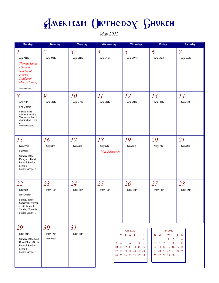May 2022

| <b>Sunday</b>                                                                                                                            | <b>Monday</b>              | <b>Tuesday</b>          | Wednesday                | Thursday                                                                                                                                                             | Friday                                                                                                                                                            | <b>Saturday</b>                     |
|------------------------------------------------------------------------------------------------------------------------------------------|----------------------------|-------------------------|--------------------------|----------------------------------------------------------------------------------------------------------------------------------------------------------------------|-------------------------------------------------------------------------------------------------------------------------------------------------------------------|-------------------------------------|
| $\boldsymbol{l}$                                                                                                                         | $\overline{2}$             | $\overline{\mathbf{3}}$ | $\overline{A}$           | 5                                                                                                                                                                    | 6                                                                                                                                                                 | 7                                   |
| Apr 18th<br><b>Thomas Sunday</b><br>- Second<br>Sunday of<br>Pascha-<br>Sunday of<br>Mercy (Tone 1)<br>Matins Gospel 1                   | Apr 19th                   | Apr 20th                | Apr 21st                 | Apr 22nd                                                                                                                                                             | Apr 23rd                                                                                                                                                          | Apr 24th                            |
| 8                                                                                                                                        | 9                          | <i>10</i>               | II                       | 12                                                                                                                                                                   | 13                                                                                                                                                                | 14                                  |
| Apr 25th<br><b>First Quarter</b><br>Sunday of the<br>Ointment Bearing<br>Women and Joseph<br>of Arimathea (Tone<br>2)<br>Matins Gospel 3 | Apr 26th                   | Apr 27th                | Apr 28th                 | Apr 29th                                                                                                                                                             | Apr 30th                                                                                                                                                          | May 1st                             |
| 15                                                                                                                                       | 16                         | 17                      | 18                       | 19                                                                                                                                                                   | 20                                                                                                                                                                | 21                                  |
| May 2nd<br>Full Moon<br>Sunday of the<br>Paralytic - Fourth<br>Paschal Sunday<br>(Tone 3)<br>Matins Gospel 4                             | May 3rd                    | May 4th                 | May 5th<br>Mid-Pentecost | May 6th                                                                                                                                                              | May 7th                                                                                                                                                           | May 8th                             |
| 22                                                                                                                                       | 23                         | 24                      | 25                       | 26                                                                                                                                                                   | 27                                                                                                                                                                | 28                                  |
| May 9th<br>Last Quarter<br>Sunday of the<br>Samaritan Woman<br>- Fifth Paschal<br>Sunday (Tone 4)<br>Matins Gospel 7                     | May 10th                   | May 11th                | May 12th                 | May 13th                                                                                                                                                             | May 14th                                                                                                                                                          | May 15th                            |
| 29<br>May 16th<br>Sunday of the Man<br>Born Blind - Sixth<br>Paschal Sunday<br>(Tone 5)<br>Matins Gospel 8                               | 30<br>May 17th<br>New Moon | 31<br>May 18th          | $\mathbf{3}$<br>-4       | Apr 2022<br>S M T W T<br>F S<br>$\overline{2}$<br>$\boldsymbol{8}$<br>6<br>$\tau$<br>-9<br>5<br>10 11 12 13 14 15 16<br>17 18 19 20 21 22 23<br>24 25 26 27 28 29 30 | Jun 2022<br>S M T W T<br>$\overline{2}$<br>6<br>$\overline{7}$<br>8<br>9<br>5<br>12    13    14    15    16    17    18<br>19 20 21 22 23 24 25<br>26 27 28 29 30 | F S<br>3<br>$\overline{4}$<br>10 11 |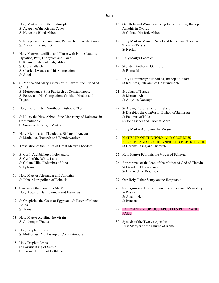### June

- 1. Holy Martyr Justin the Philosopher St Agapeti of the Kievan Caves St Herve the Blind Abbot
- 2. St Nicephoros the Confessor, Patriarch of Constantinople Ss Marcellinus and Peter
- 3. Holy Martyrs Lucillian and Those with Him: Claudios, Hypatios, Paul, Dionysios and Paula St Kevin of Glendalough, Abbot St Glunshallaich St Charles Lwanga and his Companions St Autel
- 4. Ss Martha and Mary, Sisters of St Lazarus the Friend of Christ St Metrophanes, First Patriarch of Constantinople St Petroc and His Companions Croidan, Medan and Degan
- 5. Holy Hieromartyr Dorotheos, Bishop of Tyre
- 6. St Hilary the New Abbot of the Monastery of Dalmatos in Constantinople St Susanna the Virgin Martyr
- 7. Holy Hieromartyr Theodotos, Bishop of Ancyra St Meriadoc, Hierarch and Wonderworker
- 8. Translation of the Relics of Great Martyr Theodore
- 9. St Cyril, Archbishop of Alexandria St Cyril of the White Lake St Colum Cille (Columba) of Iona St Ephrim
- 10. Holy Martyrs Alexander and Antonina St John, Metropolitan of Tobolsk
- 11. Synaxis of the Icon 'It Is Meet' Holy Apostles Bartholomew and Barnabas
- 12. St Onuphrios the Great of Egypt and St Peter of Mount Athos St Ternan
- 13. Holy Martyr Aquilina the Virgin St Anthony of Padua
- 14. Holy Prophet Elisha St Methodius, Archbishop of Constantinople
- 15. Holy Prophet Amos St Lazarus King of Serbia St Jerome, Hermit of Bethlehem
- 16. Our Holy and Wonderworking Father Tichon, Bishop of Amathis in Cyprus St Colman Mc Roi, Abbot
- 17. Holy Martyrs Manuel, Sabel and Ismael and Those with Them, of Persia St Nectan
- 18. Holy Martyr Leontios
- 19. St Jude, Brother of Our Lord St Romuald
- 20. Holy Hieromartyr Methodios, Bishop of Patara St Kallistos, Patriarch of Constantinople
- 21. St Julian of Tarsus St Mewan, Abbot St Aloysius Gonzaga
- 22. St Alban, Protomartyr of England St Eusebios the Confessor, Bishop of Samosata St Paulinus of Nola Ss John Fisher and Thomas More
- 23. Holy Martyr Agrippina the Virgin
- 24. NATIVITY OF THE HOLY AND GLORIOUS PROPHET AND FORERUNNER AND BAPTIST JOHN St Gerome, King and Hierarch
- 25. Holy Martyr Febronia the Virgin of Palmyra
- 26. Appearance of the Icon of the Mother of God of Tichvin St David of Thessalonica St Brannock of Braunton
- 27. Our Holy Father Sampson the Hospitable
- 28. Ss Sergius and Herman, Founders of Valaam Monastery in Russia St Austol, Hermit St Irenacus
- 29. HOLY AND GLORIOUS APOSTLES PETER AND PAUL
- 30. Synaxis of the Twelve Apostles First Martyrs of the Church of Rome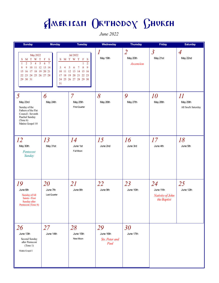June 2022

| <b>Sunday</b>                                                                                                                                                                                             | <b>Monday</b>                                                           | <b>Tuesday</b>                                                                                                                                                       | Wednesday                                 | <b>Thursday</b>                         | Friday                                             | <b>Saturday</b>                       |
|-----------------------------------------------------------------------------------------------------------------------------------------------------------------------------------------------------------|-------------------------------------------------------------------------|----------------------------------------------------------------------------------------------------------------------------------------------------------------------|-------------------------------------------|-----------------------------------------|----------------------------------------------------|---------------------------------------|
| <b>May 2022</b><br>M T W T<br>S<br>$\overline{2}$<br>$\mathbf{3}$<br>$\sqrt{5}$<br>$\mathbf{1}$<br>$\overline{4}$<br>9<br>10 11 12 13 14<br>8<br>15 16 17 18 19 20 21<br>22 23 24 25 26 27 28<br>29 30 31 | $\mathbf F$<br><sub>S</sub><br>S<br>$\overline{7}$<br>6<br>3<br>4<br>31 | Jul 2022<br>M T W T<br>F S<br>$\overline{2}$<br>1<br>$8\phantom{.}$<br>9<br>6<br>$\tau$<br>5<br>10 11 12 13 14 15 16<br>17 18 19 20 21 22 23<br>24 25 26 27 28 29 30 | 1<br>May 19th                             | $\overline{2}$<br>May 20th<br>Ascension | $\overline{3}$<br>May 21st                         | $\overline{A}$<br>May 22nd            |
| $\overline{5}$<br>May 23rd<br>Sunday of the<br>Fathers of the Fist<br>Council - Seventh<br>Paschal Sunday<br>(Tone 6)<br>Matins Gospel 10                                                                 | 6<br>May 24th                                                           | $\overline{7}$<br>May 25th<br><b>First Quarter</b>                                                                                                                   | 8<br>May 26th                             | 9<br>May 27th                           | <i>10</i><br>May 28th                              | II<br>May 29th<br>All Soul's Saturday |
| 12<br>May 30th<br>Pentecost<br>Sunday                                                                                                                                                                     | 13<br>May 31st                                                          | 14<br>June 1st<br>Full Moon                                                                                                                                          | 15<br>June 2nd                            | 16<br>June 3rd                          | 17<br>June 4th                                     | 18<br>June 5th                        |
| 19<br>June 6th<br>Sunday of All<br>Saints - First<br>Sunday after<br>Pentecost (Tone 8)                                                                                                                   | 20<br>June 7th<br>Last Quarter                                          | 21<br>June 8th                                                                                                                                                       | 22<br>June 9th                            | 23<br>June 10th                         | 24<br>June 11th<br>Nativity of John<br>the Baptist | 25<br>June 12th                       |
| 26<br>June 13th<br>Second Sunday<br>after Pentecost<br>(Tone 1)<br>Matins Gospel 1                                                                                                                        | 27<br>June 14th                                                         | 28<br>June 15th<br>New Moon                                                                                                                                          | 29<br>June 16th<br>Sts. Peter and<br>Paul | 30<br>June 17th                         |                                                    |                                       |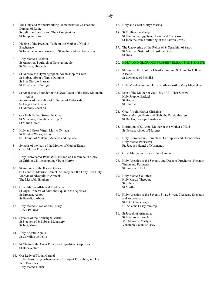### July

- 1. The Holy and Wonderworking Unmercenaries Cosmas and Damian of Rome Ss Julius and Aaron and Their Companions St Junipero Serra
- 2. Placing of the Precious Tunic of the Mother of God in Blachernae St John the Wonderworker of Shanghai and San Francisco
- 3. Holy Martyr Hyacinth St Anatolios, Patriarch of Constantinople St German, Hierarch
- 4. St Andrew the Hymnographer, Archbishop of Crete St Finbar, Abbot of Innis Doimhle St Pier Giorgio Frassati St Elizabeth of Portugal
- 5. St Athanasios, Founder of the Great Lavra of the Holy Mountain Athos Recovery of the Relics of St Sergei of Radonezh Ss Fragan and Gwen St Anthony Zaccaria
- 6. Our Holy Father Sisoes the Great St Monenna, 'Daughter of Elijah' St Maria Goretti
- 7. Holy and Great Virgin Martyr Cyriaca St Illtyd of Wales, Abbot Ss Thomas of Malcum, Acacius and Cyriaca
- 8. Synaxis of the Icon of the Mother of God of Kazan Great Martyr Procopios
- 9. Holy Hieromartyr Pancratius, Bishop of Tauromina in Sicily St Urith of Chittlehampton, Virgin Martyr
- 10. St Anthony of the Kievan Caves Ss Leontius, Maurice, Daniel, Anthony and the Forty Five Holy Martyrs of Nicapolis in Armenia The Massabki Brothers
- 11. Great Martyr All-famed Euphemia St Olga, Princess of Kiev and Equal to the Apostles St Drostan, Abbot St Benedict, Abbot
- 12. Holy Martyrs Proclos and Hilary Elder Paisios
- 13. Synaxis of the Archangel Gabriel St Stephen of St Sabbas Monastery St Just, Monk
- 14. Holy Apostle Aquila St Cornillus de Lellis
- 15. St Vladimir the Great Prince and Equal-to-the-apostles St Bonaventure
- 16. Our Lady of Mount Carmel Holy Hieromartyr Athenogenes, Bishop of Pidahthoe, and His Ten Disciples Holy Martyr Helier
- 17. Holy and Great Martyr Marina
- 18. St Emilian the Martyr St Pambo the Egyptian, Hermit and Confessor St John the Much-suffering of the Kievan Caves
- 19. The Uncovering of the Relics of St Seraphim of Sarov St Macrina, Sister of St Basil the Great St Dios

#### 20. HOLY AND GLORIOUS PROPHET ELIJAH THE TISHBITE

- 21. St Symeon the Fool for Christ's Sake and St John His Fellow Ascetic St Lawrence of Brindisi
- 22. Holy Myrrhbearer and Equal-to-the-apostles Mary Magdalene
- 23. Icon of the Mother of God, 'Joy of All That Sorrow' Holy Prophet Ezekiel St Bridget St. Sharbel
- 24. Great Virgin Martyr Christina Prince Martyrs Boris and Gleb, the Passionbearers St Declan, Bishop of Ardmore
- 25. Dormition of St Anna, Mother of the Mother of God St Nessan, Abbot of Murgnet
- 26. Holy Hieromartyrs Hermolaus, Hermippos and Hermocrates Holy Martyr Parasceva Fr. Jacques Hamel of Normandy
- 27. Great Martyr and Healer Panteleimon
- 28. Holy Apostles of the Seventy and Deacons Prochoros, Nicanor, Timon and Parmenas St Samson of Dol
- 29. Holy Martyr Callinicos Holy Martyr Theodota St Sulian St Martha
- 30. Holy Apostles of the Seventy Silas, Silvan, Crescens, Epenetos and Andronicos St Peter Chrysologus Bl. Solanus Casey ofm cap.
- 31. St Joseph of Arimathea St Ignatius of Loyola 350 Maronite Martyrs Venerable Solanus Casey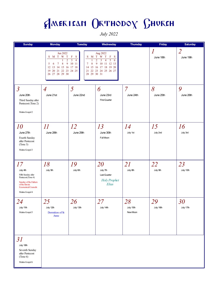July 2022

| <b>Sunday</b>                                                                                                                                            | <b>Monday</b>                                                                                                                                       | <b>Tuesday</b>                                                                                             | Wednesday                                                                                                                                 | <b>Thursday</b>             | Friday          | <b>Saturday</b>              |
|----------------------------------------------------------------------------------------------------------------------------------------------------------|-----------------------------------------------------------------------------------------------------------------------------------------------------|------------------------------------------------------------------------------------------------------------|-------------------------------------------------------------------------------------------------------------------------------------------|-----------------------------|-----------------|------------------------------|
|                                                                                                                                                          | Jun 2022<br>$M$ T W T<br>S<br>$\overline{2}$<br>$\bf 8$<br>9<br>5<br>7<br>6<br>13 14 15 16 17 18<br>12<br>20 21 22 23 24 25<br>19<br>26 27 28 29 30 | $_{\rm F}$<br>S<br>S<br>$\overline{4}$<br>3<br>1<br>$\bf 8$<br>10 11<br>7<br>15<br>14<br>21<br>28 29 30 31 | Aug 2022<br>M T W T<br>$\mathbf{F}$<br>S<br>$\overline{2}$<br>5<br>3<br>6<br>4<br>9<br>10 11 12 13<br>16 17 18 19 20<br>22 23 24 25 26 27 |                             | 1<br>June 18th  | $\overline{2}$<br>June 19th  |
| $\overline{3}$<br>June 20th<br>Third Sunday after<br>Pentecost (Tone 2)<br>Matins Gospel 2                                                               | $\overline{A}$<br>June 21st                                                                                                                         | 5<br>June 22nd                                                                                             | 6<br>June 23rd<br>First Quarter                                                                                                           | $\overline{7}$<br>June 24th | 8<br>June 25th  | 9<br>June 26th               |
| <i>10</i><br>June 27th<br>Fourth Sunday<br>after Pentecost<br>(Tone 3)<br>Matins Gospel 3                                                                | $\varPi$<br>June 28th                                                                                                                               | 12<br>June 29th                                                                                            | 13<br>June 30th<br>Full Moon                                                                                                              | 14<br>July 1st              | 15<br>July 2nd  | 16<br>July 3rd               |
| 17<br>July 4th<br>Fifth Sunday after<br>Pentecost (Tone 4)<br>Sunday of the Fathers<br>of the first six<br><b>Ecumenical Councils</b><br>Matins Gospel 4 | 18<br>July 5th                                                                                                                                      | 19<br>July 6th                                                                                             | 20<br>July 7th<br>Last Quarter<br><b>Holy Prophet</b><br>Elias                                                                            | 21<br>July 8th              | 22<br>July 9th  | 23<br>July 10th              |
| 24<br>July 11th<br>Matins Gospel 5                                                                                                                       | 25<br>July 12th<br>Dormition of St<br>Anne                                                                                                          | 26<br>July 13th                                                                                            | 27<br>July 14th                                                                                                                           | 28<br>July 15th<br>New Moon | 29<br>July 16th | 30 <sup>°</sup><br>July 17th |
| 31<br>July 18th<br>Seventh Sunday<br>after Pentecost<br>(Tone 6)<br>Matins Gospel 6                                                                      |                                                                                                                                                     |                                                                                                            |                                                                                                                                           |                             |                 |                              |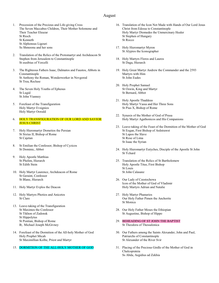#### August

- 1. Procession of the Precious and Life-giving Cross The Seven Maccabee Children, Their Mother Solomone and Their Teacher Eleazar St Rioch St Kenneth St Alphonsus Ligouri Ss Shmoonu and her sons
- 2. Translation of the Relics of the Protomartyr and Archdeacon St Stephen from Jerusalem to Constantinople St eusibius of Vercelli
- 3. The Righteous Fathers Isaac, Dalmatos and Faustos, Abbots in Constantinople St Anthony the Roman, Wonderworker in Novgorod St Trea, Recluse
- 4. The Seven Holy Youths of Ephesus St Lugid St John Vianney
- 5. Forefeast of the Transfiguration Holy Martyr Evsignios Holy Martyr Oswald

#### 6. HOLY TRANSFIGURATION OF OUR LORD AND SAVIOR **JESUS CHRIST**

- 7. Holy Hieromartyr Dometios the Persian St Sixtus II, Bishop of Rome St Cajetan
- 8. St Emilian the Confessor, Bishop of Cyzicos St Dominic, Abbot
- 9. Holy Apostle Matthias St Phelim, Hierarch St Edith Stein
- 10. Holy Martyr Laurence, Archdeacon of Rome St Geraint, Confessor St Blane, Hierarch
- 11. Holy Martyr Evplos the Deacon
- 12. Holy Martyrs Photios and Anicetos St Clare
- 13. Leave-taking of the Transfiguration St Maximos the Confessor St Tikhon of Zadonsk St Hippolytus St Pontian, Bishop of Rome B;. Michael Joseph McGivney
- 14. Forefeast of the Dormition of the All-holy Mother of God Holy Prophet Micah St Maximillian Kolbe, Priest and Martyr
- 15. DORMITION OF THE ALL-HOLY MOTHER OF GOD
- 16. Translation of the Icon Not Made with Hands of Our Lord Jesus Christ from Edessa to Constantinople Holy Martyr Diomedes the Unmercinary Healer St Stephen of Hungary St Rocco
- 17. Holy Hieromartyr Myron St Alypios the Iconographer
- 18. Holy Martyrs Floros and Lauros St Daga, Hierarch
- 19. Holy Great Martyr Andrew the Commander and the 2593 Martyrs with Him St John Eudes
- 20. Holy Prophet Samuel St Oswin, King and Martyr St Bernard, Abbot
- 21. Holy Apostle Thaddeus Holy Martyr Vassa and Her Three Sons St Pius X, Bishop of Rome
- 22. Synaxis of the Mother of God of Prusa Holy Martyr Agathonicos and His Companions
- 23. Leave-taking of the Feast of the Dormition of the Mother of God St Eogan, First Bishop of Ardstrawst St Lupos the Slave St Rose of Lima St Isaac the Syrian
- 24. Holy Hieromartyr Eutyches, Disciple of the Apostle St John St Ychard
- 25. Translation of the Relics of St Bartholomew Holy Apostle Titus, First Bishop St Louis St John Calasanz
- 26. Our Lady of Czestochowa Icon of the Mother of God of Vladimir Holy Martyrs Adrian and Natalie
- 27. Holy Martyr Phanurios Our Holy Father Pimen the Anchorite St Monica
- 28. Our Holy Father Moses the Ethiopian St Augustine, Bishop of Hippo
- 29. BEHEADING OF ST JOHN THE BAPTIST St Theodora of Thessalonica
- 30. Our Fathers among the Saints Alexander, John and Paul, Patriarchs of Constantinople St Alexander of the River Svir
- 31. Placing of the Precious Girdle of the Mother of God in Chalcoprateia Ss Abda, Aegidius ad Zekhia